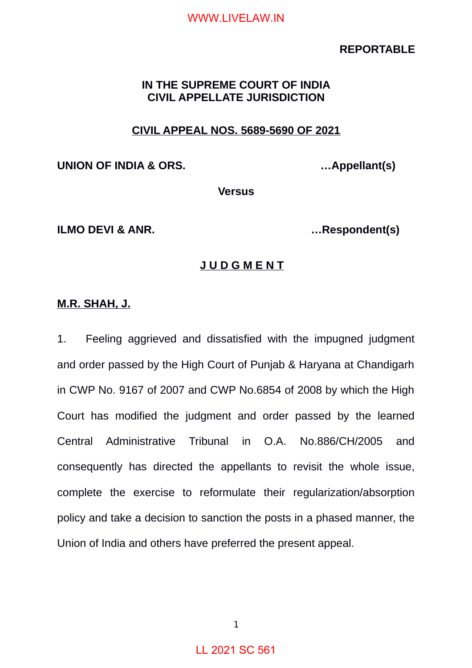## **REPORTABLE**

# **IN THE SUPREME COURT OF INDIA CIVIL APPELLATE JURISDICTION**

# **CIVIL APPEAL NOS. 5689-5690 OF 2021**

**UNION OF INDIA & ORS. …Appellant(s)**

**Versus**

**ILMO DEVI & ANR. …Respondent(s)**

## **J U D G M E N T**

## **M.R. SHAH, J.**

1. Feeling aggrieved and dissatisfied with the impugned judgment and order passed by the High Court of Punjab & Haryana at Chandigarh in CWP No. 9167 of 2007 and CWP No.6854 of 2008 by which the High Court has modified the judgment and order passed by the learned Central Administrative Tribunal in O.A. No.886/CH/2005 and consequently has directed the appellants to revisit the whole issue, complete the exercise to reformulate their regularization/absorption policy and take a decision to sanction the posts in a phased manner, the Union of India and others have preferred the present appeal.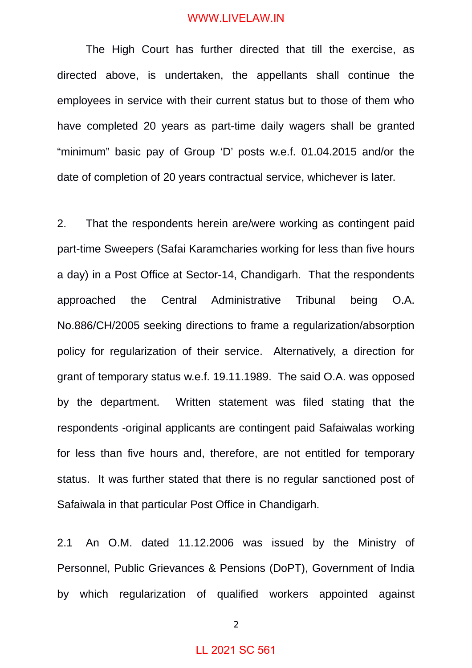The High Court has further directed that till the exercise, as directed above, is undertaken, the appellants shall continue the employees in service with their current status but to those of them who have completed 20 years as part-time daily wagers shall be granted "minimum" basic pay of Group 'D' posts w.e.f. 01.04.2015 and/or the date of completion of 20 years contractual service, whichever is later.

2. That the respondents herein are/were working as contingent paid part-time Sweepers (Safai Karamcharies working for less than five hours a day) in a Post Office at Sector-14, Chandigarh. That the respondents approached the Central Administrative Tribunal being O.A. No.886/CH/2005 seeking directions to frame a regularization/absorption policy for regularization of their service. Alternatively, a direction for grant of temporary status w.e.f. 19.11.1989. The said O.A. was opposed by the department. Written statement was filed stating that the respondents -original applicants are contingent paid Safaiwalas working for less than five hours and, therefore, are not entitled for temporary status. It was further stated that there is no regular sanctioned post of Safaiwala in that particular Post Office in Chandigarh.

2.1 An O.M. dated 11.12.2006 was issued by the Ministry of Personnel, Public Grievances & Pensions (DoPT), Government of India by which regularization of qualified workers appointed against

2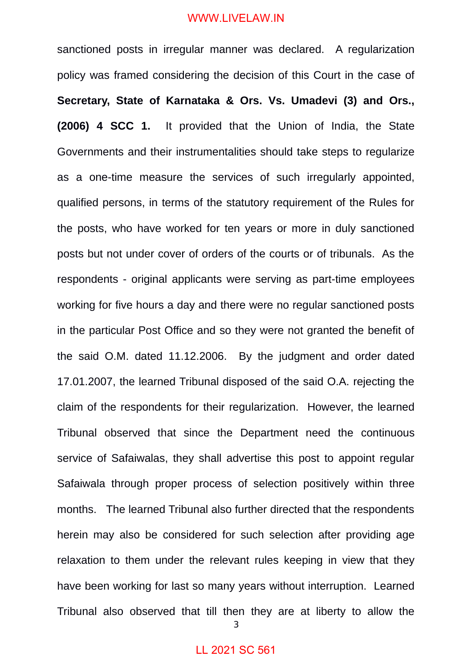sanctioned posts in irregular manner was declared. A regularization policy was framed considering the decision of this Court in the case of **Secretary, State of Karnataka & Ors. Vs. Umadevi (3) and Ors., (2006) 4 SCC 1.** It provided that the Union of India, the State Governments and their instrumentalities should take steps to regularize as a one-time measure the services of such irregularly appointed, qualified persons, in terms of the statutory requirement of the Rules for the posts, who have worked for ten years or more in duly sanctioned posts but not under cover of orders of the courts or of tribunals. As the respondents - original applicants were serving as part-time employees working for five hours a day and there were no regular sanctioned posts in the particular Post Office and so they were not granted the benefit of the said O.M. dated 11.12.2006. By the judgment and order dated 17.01.2007, the learned Tribunal disposed of the said O.A. rejecting the claim of the respondents for their regularization. However, the learned Tribunal observed that since the Department need the continuous service of Safaiwalas, they shall advertise this post to appoint regular Safaiwala through proper process of selection positively within three months. The learned Tribunal also further directed that the respondents herein may also be considered for such selection after providing age relaxation to them under the relevant rules keeping in view that they have been working for last so many years without interruption. Learned Tribunal also observed that till then they are at liberty to allow the

3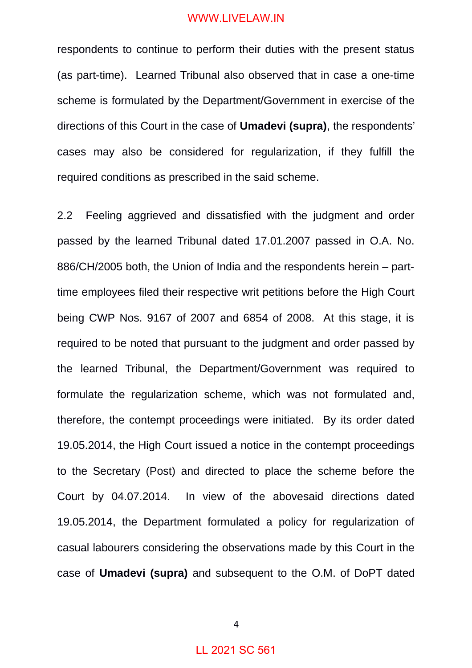respondents to continue to perform their duties with the present status (as part-time). Learned Tribunal also observed that in case a one-time scheme is formulated by the Department/Government in exercise of the directions of this Court in the case of **Umadevi (supra)**, the respondents' cases may also be considered for regularization, if they fulfill the required conditions as prescribed in the said scheme.

2.2 Feeling aggrieved and dissatisfied with the judgment and order passed by the learned Tribunal dated 17.01.2007 passed in O.A. No. 886/CH/2005 both, the Union of India and the respondents herein – parttime employees filed their respective writ petitions before the High Court being CWP Nos. 9167 of 2007 and 6854 of 2008. At this stage, it is required to be noted that pursuant to the judgment and order passed by the learned Tribunal, the Department/Government was required to formulate the regularization scheme, which was not formulated and, therefore, the contempt proceedings were initiated. By its order dated 19.05.2014, the High Court issued a notice in the contempt proceedings to the Secretary (Post) and directed to place the scheme before the Court by 04.07.2014. In view of the abovesaid directions dated 19.05.2014, the Department formulated a policy for regularization of casual labourers considering the observations made by this Court in the case of **Umadevi (supra)** and subsequent to the O.M. of DoPT dated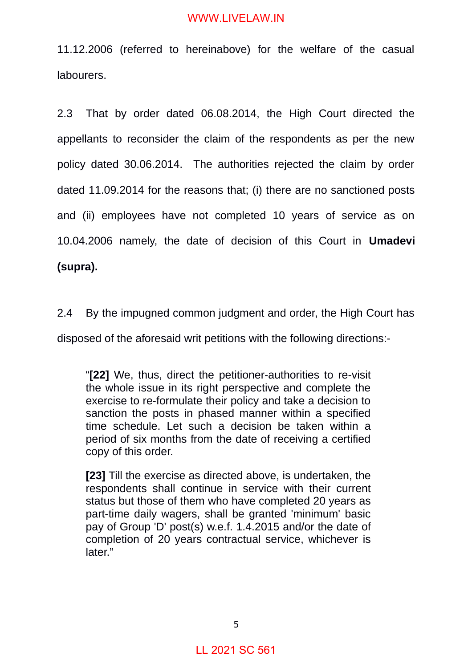11.12.2006 (referred to hereinabove) for the welfare of the casual labourers.

2.3 That by order dated 06.08.2014, the High Court directed the appellants to reconsider the claim of the respondents as per the new policy dated 30.06.2014. The authorities rejected the claim by order dated 11.09.2014 for the reasons that; (i) there are no sanctioned posts and (ii) employees have not completed 10 years of service as on 10.04.2006 namely, the date of decision of this Court in **Umadevi (supra).** 

2.4 By the impugned common judgment and order, the High Court has

disposed of the aforesaid writ petitions with the following directions:-

"**[22]** We, thus, direct the petitioner-authorities to re-visit the whole issue in its right perspective and complete the exercise to re-formulate their policy and take a decision to sanction the posts in phased manner within a specified time schedule. Let such a decision be taken within a period of six months from the date of receiving a certified copy of this order.

**[23]** Till the exercise as directed above, is undertaken, the respondents shall continue in service with their current status but those of them who have completed 20 years as part-time daily wagers, shall be granted 'minimum' basic pay of Group 'D' post(s) w.e.f. 1.4.2015 and/or the date of completion of 20 years contractual service, whichever is later."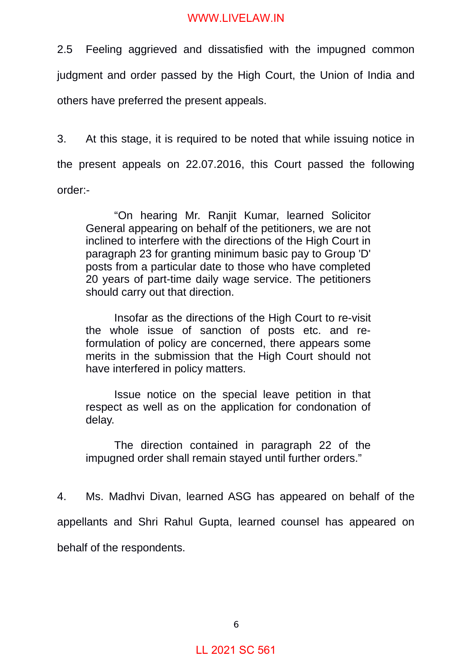2.5 Feeling aggrieved and dissatisfied with the impugned common judgment and order passed by the High Court, the Union of India and others have preferred the present appeals.

3. At this stage, it is required to be noted that while issuing notice in the present appeals on 22.07.2016, this Court passed the following order:-

"On hearing Mr. Ranjit Kumar, learned Solicitor General appearing on behalf of the petitioners, we are not inclined to interfere with the directions of the High Court in paragraph 23 for granting minimum basic pay to Group 'D' posts from a particular date to those who have completed 20 years of part-time daily wage service. The petitioners should carry out that direction.

Insofar as the directions of the High Court to re-visit the whole issue of sanction of posts etc. and reformulation of policy are concerned, there appears some merits in the submission that the High Court should not have interfered in policy matters.

Issue notice on the special leave petition in that respect as well as on the application for condonation of delay.

The direction contained in paragraph 22 of the impugned order shall remain stayed until further orders."

4. Ms. Madhvi Divan, learned ASG has appeared on behalf of the appellants and Shri Rahul Gupta, learned counsel has appeared on behalf of the respondents.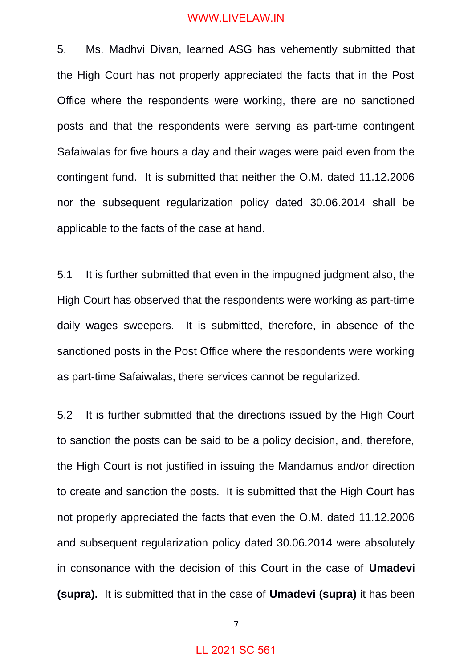5. Ms. Madhvi Divan, learned ASG has vehemently submitted that the High Court has not properly appreciated the facts that in the Post Office where the respondents were working, there are no sanctioned posts and that the respondents were serving as part-time contingent Safaiwalas for five hours a day and their wages were paid even from the contingent fund. It is submitted that neither the O.M. dated 11.12.2006 nor the subsequent regularization policy dated 30.06.2014 shall be applicable to the facts of the case at hand.

5.1 It is further submitted that even in the impugned judgment also, the High Court has observed that the respondents were working as part-time daily wages sweepers. It is submitted, therefore, in absence of the sanctioned posts in the Post Office where the respondents were working as part-time Safaiwalas, there services cannot be regularized.

5.2 It is further submitted that the directions issued by the High Court to sanction the posts can be said to be a policy decision, and, therefore, the High Court is not justified in issuing the Mandamus and/or direction to create and sanction the posts. It is submitted that the High Court has not properly appreciated the facts that even the O.M. dated 11.12.2006 and subsequent regularization policy dated 30.06.2014 were absolutely in consonance with the decision of this Court in the case of **Umadevi (supra).** It is submitted that in the case of **Umadevi (supra)** it has been

7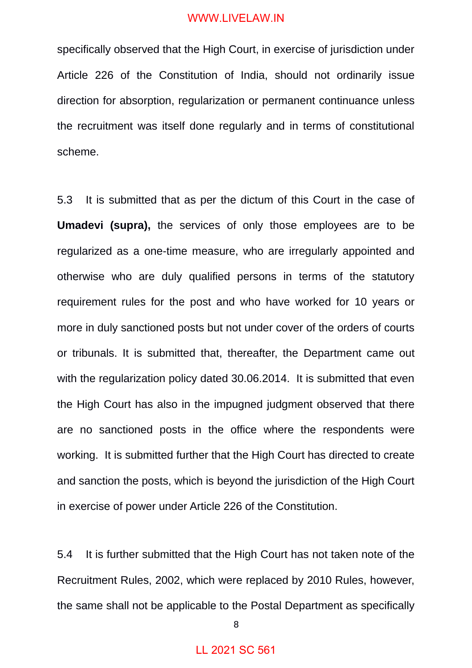specifically observed that the High Court, in exercise of jurisdiction under Article 226 of the Constitution of India, should not ordinarily issue direction for absorption, regularization or permanent continuance unless the recruitment was itself done regularly and in terms of constitutional scheme.

5.3 It is submitted that as per the dictum of this Court in the case of **Umadevi (supra),** the services of only those employees are to be regularized as a one-time measure, who are irregularly appointed and otherwise who are duly qualified persons in terms of the statutory requirement rules for the post and who have worked for 10 years or more in duly sanctioned posts but not under cover of the orders of courts or tribunals. It is submitted that, thereafter, the Department came out with the regularization policy dated 30.06.2014. It is submitted that even the High Court has also in the impugned judgment observed that there are no sanctioned posts in the office where the respondents were working. It is submitted further that the High Court has directed to create and sanction the posts, which is beyond the jurisdiction of the High Court in exercise of power under Article 226 of the Constitution.

5.4 It is further submitted that the High Court has not taken note of the Recruitment Rules, 2002, which were replaced by 2010 Rules, however, the same shall not be applicable to the Postal Department as specifically

8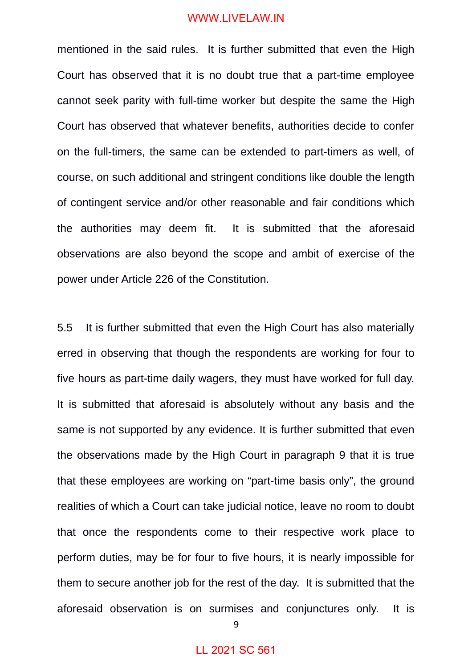mentioned in the said rules. It is further submitted that even the High Court has observed that it is no doubt true that a part-time employee cannot seek parity with full-time worker but despite the same the High Court has observed that whatever benefits, authorities decide to confer on the full-timers, the same can be extended to part-timers as well, of course, on such additional and stringent conditions like double the length of contingent service and/or other reasonable and fair conditions which the authorities may deem fit. It is submitted that the aforesaid observations are also beyond the scope and ambit of exercise of the power under Article 226 of the Constitution.

5.5 It is further submitted that even the High Court has also materially erred in observing that though the respondents are working for four to five hours as part-time daily wagers, they must have worked for full day. It is submitted that aforesaid is absolutely without any basis and the same is not supported by any evidence. It is further submitted that even the observations made by the High Court in paragraph 9 that it is true that these employees are working on "part-time basis only", the ground realities of which a Court can take judicial notice, leave no room to doubt that once the respondents come to their respective work place to perform duties, may be for four to five hours, it is nearly impossible for them to secure another job for the rest of the day. It is submitted that the aforesaid observation is on surmises and conjunctures only. It is

9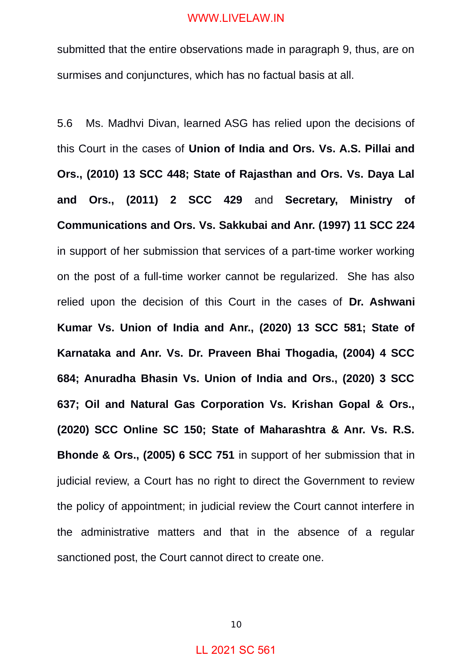submitted that the entire observations made in paragraph 9, thus, are on surmises and conjunctures, which has no factual basis at all.

5.6 Ms. Madhvi Divan, learned ASG has relied upon the decisions of this Court in the cases of **Union of India and Ors. Vs. A.S. Pillai and Ors., (2010) 13 SCC 448; State of Rajasthan and Ors. Vs. Daya Lal and Ors., (2011) 2 SCC 429** and **Secretary, Ministry of Communications and Ors. Vs. Sakkubai and Anr. (1997) 11 SCC 224** in support of her submission that services of a part-time worker working on the post of a full-time worker cannot be regularized. She has also relied upon the decision of this Court in the cases of **Dr. Ashwani Kumar Vs. Union of India and Anr., (2020) 13 SCC 581; State of Karnataka and Anr. Vs. Dr. Praveen Bhai Thogadia, (2004) 4 SCC 684; Anuradha Bhasin Vs. Union of India and Ors., (2020) 3 SCC 637; Oil and Natural Gas Corporation Vs. Krishan Gopal & Ors., (2020) SCC Online SC 150; State of Maharashtra & Anr. Vs. R.S. Bhonde & Ors., (2005) 6 SCC 751** in support of her submission that in judicial review, a Court has no right to direct the Government to review the policy of appointment; in judicial review the Court cannot interfere in the administrative matters and that in the absence of a regular sanctioned post, the Court cannot direct to create one.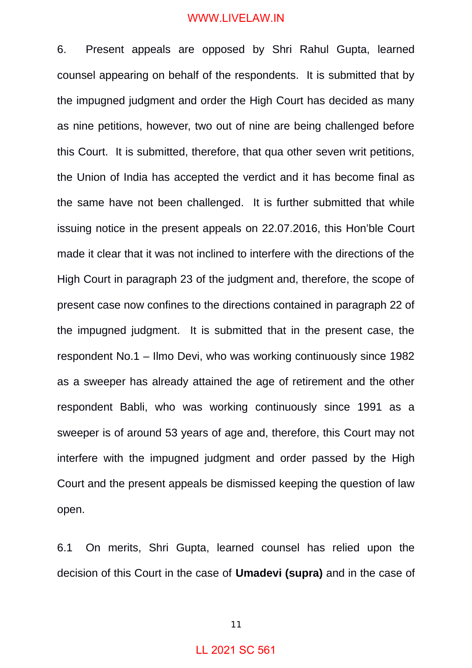6. Present appeals are opposed by Shri Rahul Gupta, learned counsel appearing on behalf of the respondents. It is submitted that by the impugned judgment and order the High Court has decided as many as nine petitions, however, two out of nine are being challenged before this Court. It is submitted, therefore, that qua other seven writ petitions, the Union of India has accepted the verdict and it has become final as the same have not been challenged. It is further submitted that while issuing notice in the present appeals on 22.07.2016, this Hon'ble Court made it clear that it was not inclined to interfere with the directions of the High Court in paragraph 23 of the judgment and, therefore, the scope of present case now confines to the directions contained in paragraph 22 of the impugned judgment. It is submitted that in the present case, the respondent No.1 – Ilmo Devi, who was working continuously since 1982 as a sweeper has already attained the age of retirement and the other respondent Babli, who was working continuously since 1991 as a sweeper is of around 53 years of age and, therefore, this Court may not interfere with the impugned judgment and order passed by the High Court and the present appeals be dismissed keeping the question of law open.

6.1 On merits, Shri Gupta, learned counsel has relied upon the decision of this Court in the case of **Umadevi (supra)** and in the case of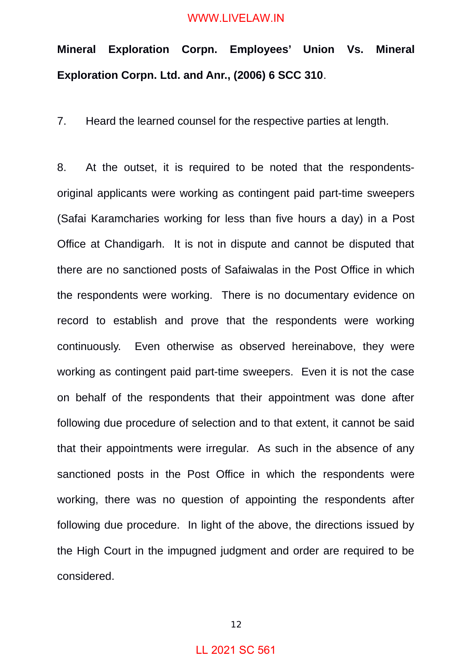# **Mineral Exploration Corpn. Employees' Union Vs. Mineral Exploration Corpn. Ltd. and Anr., (2006) 6 SCC 310**.

7. Heard the learned counsel for the respective parties at length.

8. At the outset, it is required to be noted that the respondentsoriginal applicants were working as contingent paid part-time sweepers (Safai Karamcharies working for less than five hours a day) in a Post Office at Chandigarh. It is not in dispute and cannot be disputed that there are no sanctioned posts of Safaiwalas in the Post Office in which the respondents were working. There is no documentary evidence on record to establish and prove that the respondents were working continuously. Even otherwise as observed hereinabove, they were working as contingent paid part-time sweepers. Even it is not the case on behalf of the respondents that their appointment was done after following due procedure of selection and to that extent, it cannot be said that their appointments were irregular. As such in the absence of any sanctioned posts in the Post Office in which the respondents were working, there was no question of appointing the respondents after following due procedure. In light of the above, the directions issued by the High Court in the impugned judgment and order are required to be considered.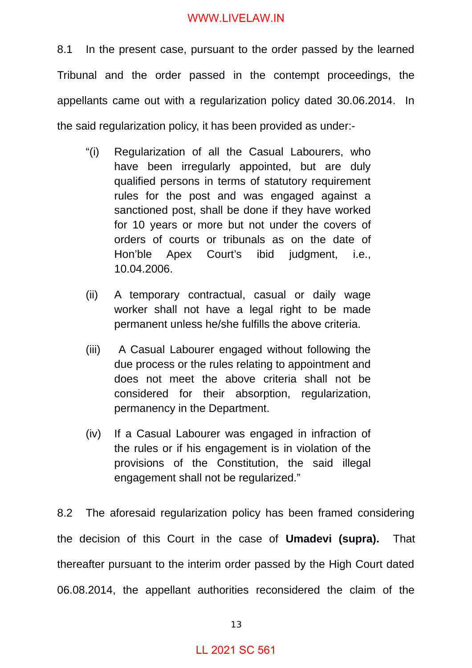8.1 In the present case, pursuant to the order passed by the learned Tribunal and the order passed in the contempt proceedings, the appellants came out with a regularization policy dated 30.06.2014. In the said regularization policy, it has been provided as under:-

- "(i) Regularization of all the Casual Labourers, who have been irregularly appointed, but are duly qualified persons in terms of statutory requirement rules for the post and was engaged against a sanctioned post, shall be done if they have worked for 10 years or more but not under the covers of orders of courts or tribunals as on the date of Hon'ble Apex Court's ibid judgment, i.e., 10.04.2006.
- (ii) A temporary contractual, casual or daily wage worker shall not have a legal right to be made permanent unless he/she fulfills the above criteria.
- (iii) A Casual Labourer engaged without following the due process or the rules relating to appointment and does not meet the above criteria shall not be considered for their absorption, regularization, permanency in the Department.
- (iv) If a Casual Labourer was engaged in infraction of the rules or if his engagement is in violation of the provisions of the Constitution, the said illegal engagement shall not be regularized."

8.2 The aforesaid regularization policy has been framed considering the decision of this Court in the case of **Umadevi (supra).** That thereafter pursuant to the interim order passed by the High Court dated 06.08.2014, the appellant authorities reconsidered the claim of the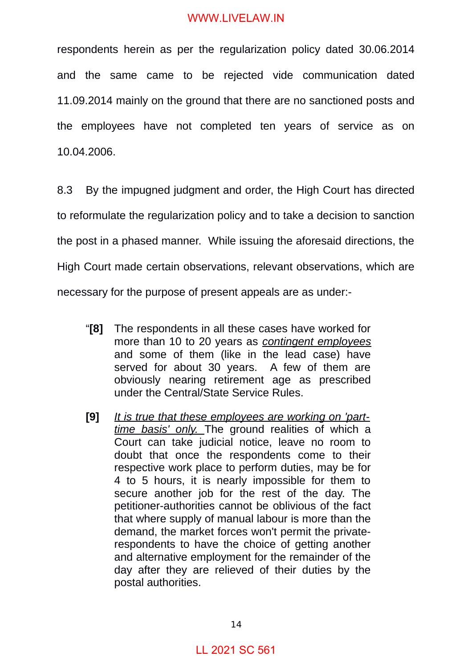respondents herein as per the regularization policy dated 30.06.2014 and the same came to be rejected vide communication dated 11.09.2014 mainly on the ground that there are no sanctioned posts and the employees have not completed ten years of service as on 10.04.2006.

8.3 By the impugned judgment and order, the High Court has directed to reformulate the regularization policy and to take a decision to sanction the post in a phased manner. While issuing the aforesaid directions, the High Court made certain observations, relevant observations, which are necessary for the purpose of present appeals are as under:-

- "**[8]** The respondents in all these cases have worked for more than 10 to 20 years as *contingent employees* and some of them (like in the lead case) have served for about 30 years. A few of them are obviously nearing retirement age as prescribed under the Central/State Service Rules.
- **[9]** *It is true that these employees are working on 'parttime basis' only.* The ground realities of which a Court can take judicial notice, leave no room to doubt that once the respondents come to their respective work place to perform duties, may be for 4 to 5 hours, it is nearly impossible for them to secure another job for the rest of the day. The petitioner-authorities cannot be oblivious of the fact that where supply of manual labour is more than the demand, the market forces won't permit the privaterespondents to have the choice of getting another and alternative employment for the remainder of the day after they are relieved of their duties by the postal authorities.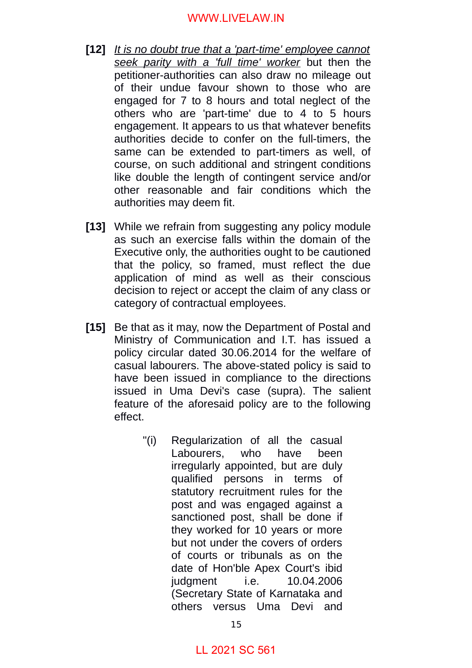- **[12]** *It is no doubt true that a 'part-time' employee cannot seek parity with a 'full time' worker* but then the petitioner-authorities can also draw no mileage out of their undue favour shown to those who are engaged for 7 to 8 hours and total neglect of the others who are 'part-time' due to 4 to 5 hours engagement. It appears to us that whatever benefits authorities decide to confer on the full-timers, the same can be extended to part-timers as well, of course, on such additional and stringent conditions like double the length of contingent service and/or other reasonable and fair conditions which the authorities may deem fit.
- **[13]** While we refrain from suggesting any policy module as such an exercise falls within the domain of the Executive only, the authorities ought to be cautioned that the policy, so framed, must reflect the due application of mind as well as their conscious decision to reject or accept the claim of any class or category of contractual employees.
- **[15]** Be that as it may, now the Department of Postal and Ministry of Communication and I.T. has issued a policy circular dated 30.06.2014 for the welfare of casual labourers. The above-stated policy is said to have been issued in compliance to the directions issued in Uma Devi's case (supra). The salient feature of the aforesaid policy are to the following effect.
	- "(i) Regularization of all the casual Labourers, who have been irregularly appointed, but are duly qualified persons in terms of statutory recruitment rules for the post and was engaged against a sanctioned post, shall be done if they worked for 10 years or more but not under the covers of orders of courts or tribunals as on the date of Hon'ble Apex Court's ibid judgment i.e. 10.04.2006 (Secretary State of Karnataka and others versus Uma Devi and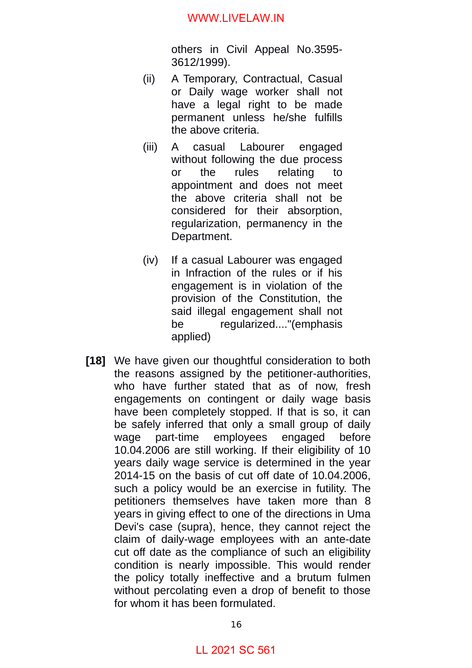others in Civil Appeal No.3595- 3612/1999).

- (ii) A Temporary, Contractual, Casual or Daily wage worker shall not have a legal right to be made permanent unless he/she fulfills the above criteria.
- (iii) A casual Labourer engaged without following the due process or the rules relating to appointment and does not meet the above criteria shall not be considered for their absorption, regularization, permanency in the Department.
- (iv) If a casual Labourer was engaged in Infraction of the rules or if his engagement is in violation of the provision of the Constitution, the said illegal engagement shall not be regularized...."(emphasis applied)
- **[18]** We have given our thoughtful consideration to both the reasons assigned by the petitioner-authorities, who have further stated that as of now, fresh engagements on contingent or daily wage basis have been completely stopped. If that is so, it can be safely inferred that only a small group of daily wage part-time employees engaged before 10.04.2006 are still working. If their eligibility of 10 years daily wage service is determined in the year 2014-15 on the basis of cut off date of 10.04.2006, such a policy would be an exercise in futility. The petitioners themselves have taken more than 8 years in giving effect to one of the directions in Uma Devi's case (supra), hence, they cannot reject the claim of daily-wage employees with an ante-date cut off date as the compliance of such an eligibility condition is nearly impossible. This would render the policy totally ineffective and a brutum fulmen without percolating even a drop of benefit to those for whom it has been formulated.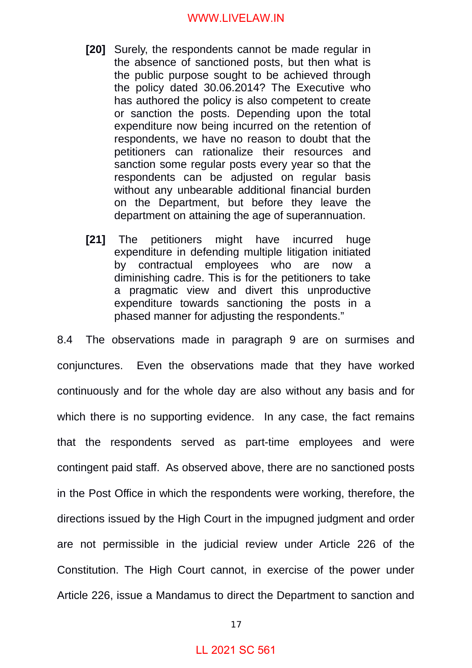- **[20]** Surely, the respondents cannot be made regular in the absence of sanctioned posts, but then what is the public purpose sought to be achieved through the policy dated 30.06.2014? The Executive who has authored the policy is also competent to create or sanction the posts. Depending upon the total expenditure now being incurred on the retention of respondents, we have no reason to doubt that the petitioners can rationalize their resources and sanction some regular posts every year so that the respondents can be adjusted on regular basis without any unbearable additional financial burden on the Department, but before they leave the department on attaining the age of superannuation.
- **[21]** The petitioners might have incurred huge expenditure in defending multiple litigation initiated by contractual employees who are now a diminishing cadre. This is for the petitioners to take a pragmatic view and divert this unproductive expenditure towards sanctioning the posts in a phased manner for adjusting the respondents."

8.4 The observations made in paragraph 9 are on surmises and conjunctures. Even the observations made that they have worked continuously and for the whole day are also without any basis and for which there is no supporting evidence. In any case, the fact remains that the respondents served as part-time employees and were contingent paid staff. As observed above, there are no sanctioned posts in the Post Office in which the respondents were working, therefore, the directions issued by the High Court in the impugned judgment and order are not permissible in the judicial review under Article 226 of the Constitution. The High Court cannot, in exercise of the power under Article 226, issue a Mandamus to direct the Department to sanction and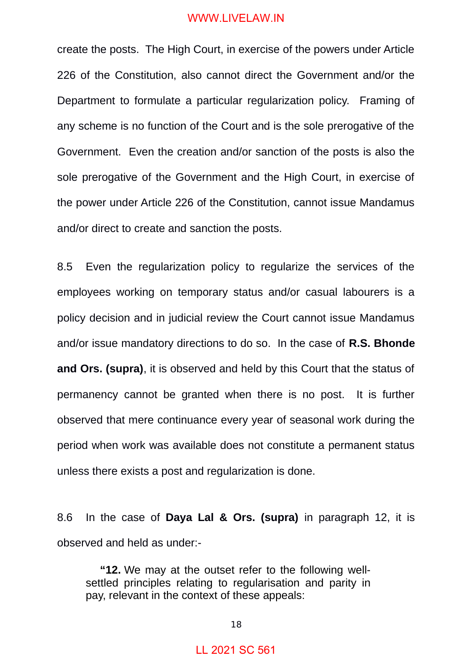create the posts. The High Court, in exercise of the powers under Article 226 of the Constitution, also cannot direct the Government and/or the Department to formulate a particular regularization policy. Framing of any scheme is no function of the Court and is the sole prerogative of the Government. Even the creation and/or sanction of the posts is also the sole prerogative of the Government and the High Court, in exercise of the power under Article 226 of the Constitution, cannot issue Mandamus and/or direct to create and sanction the posts.

8.5 Even the regularization policy to regularize the services of the employees working on temporary status and/or casual labourers is a policy decision and in judicial review the Court cannot issue Mandamus and/or issue mandatory directions to do so. In the case of **R.S. Bhonde and Ors. (supra)**, it is observed and held by this Court that the status of permanency cannot be granted when there is no post. It is further observed that mere continuance every year of seasonal work during the period when work was available does not constitute a permanent status unless there exists a post and regularization is done.

8.6 In the case of **Daya Lal & Ors. (supra)** in paragraph 12, it is observed and held as under:-

**"12.** We may at the outset refer to the following wellsettled principles relating to regularisation and parity in pay, relevant in the context of these appeals: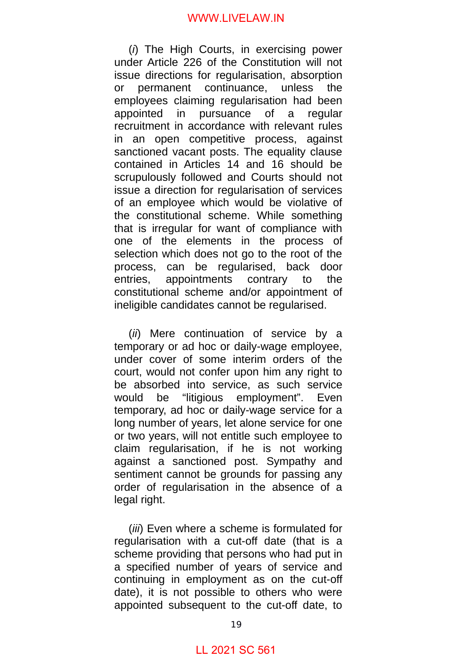(*i*) The High Courts, in exercising power under Article 226 of the Constitution will not issue directions for regularisation, absorption or permanent continuance, unless the employees claiming regularisation had been appointed in pursuance of a regular recruitment in accordance with relevant rules in an open competitive process, against sanctioned vacant posts. The equality clause contained in Articles 14 and 16 should be scrupulously followed and Courts should not issue a direction for regularisation of services of an employee which would be violative of the constitutional scheme. While something that is irregular for want of compliance with one of the elements in the process of selection which does not go to the root of the process, can be regularised, back door entries, appointments contrary to the constitutional scheme and/or appointment of ineligible candidates cannot be regularised.

(*ii*) Mere continuation of service by a temporary or ad hoc or daily-wage employee, under cover of some interim orders of the court, would not confer upon him any right to be absorbed into service, as such service would be "litigious employment". Even temporary, ad hoc or daily-wage service for a long number of years, let alone service for one or two years, will not entitle such employee to claim regularisation, if he is not working against a sanctioned post. Sympathy and sentiment cannot be grounds for passing any order of regularisation in the absence of a legal right.

(*iii*) Even where a scheme is formulated for regularisation with a cut-off date (that is a scheme providing that persons who had put in a specified number of years of service and continuing in employment as on the cut-off date), it is not possible to others who were appointed subsequent to the cut-off date, to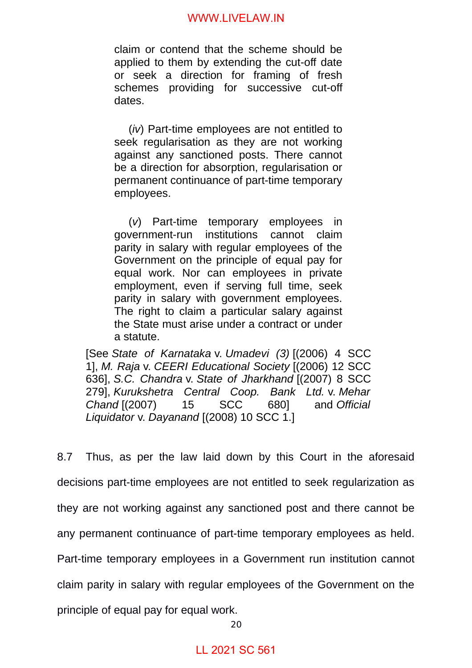claim or contend that the scheme should be applied to them by extending the cut-off date or seek a direction for framing of fresh schemes providing for successive cut-off dates.

(*iv*) Part-time employees are not entitled to seek regularisation as they are not working against any sanctioned posts. There cannot be a direction for absorption, regularisation or permanent continuance of part-time temporary employees.

(*v*) Part-time temporary employees in government-run institutions cannot claim parity in salary with regular employees of the Government on the principle of equal pay for equal work. Nor can employees in private employment, even if serving full time, seek parity in salary with government employees. The right to claim a particular salary against the State must arise under a contract or under a statute.

[See *State of Karnataka* v. *Umadevi (3)* [(2006) 4 SCC 1], *M. Raja* v. *CEERI Educational Society* [(2006) 12 SCC 636], *S.C. Chandra* v. *State of Jharkhand* [(2007) 8 SCC 279], *Kurukshetra Central Coop. Bank Ltd.* v. *Mehar Chand* [(2007) 15 SCC 680] and *Official Liquidator* v. *Dayanand* [(2008) 10 SCC 1.]

8.7 Thus, as per the law laid down by this Court in the aforesaid decisions part-time employees are not entitled to seek regularization as they are not working against any sanctioned post and there cannot be any permanent continuance of part-time temporary employees as held. Part-time temporary employees in a Government run institution cannot claim parity in salary with regular employees of the Government on the principle of equal pay for equal work.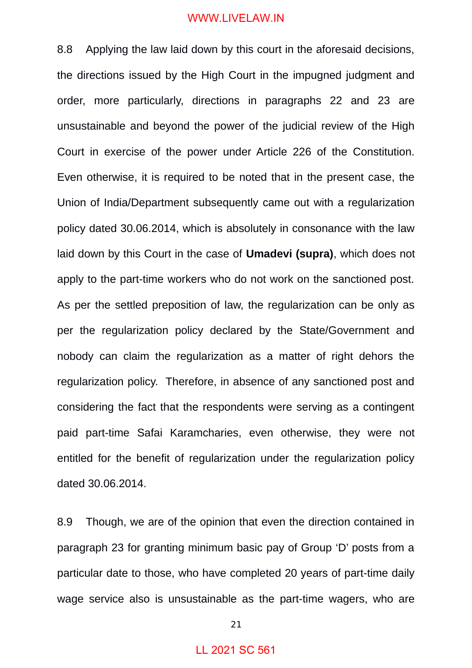8.8 Applying the law laid down by this court in the aforesaid decisions, the directions issued by the High Court in the impugned judgment and order, more particularly, directions in paragraphs 22 and 23 are unsustainable and beyond the power of the judicial review of the High Court in exercise of the power under Article 226 of the Constitution. Even otherwise, it is required to be noted that in the present case, the Union of India/Department subsequently came out with a regularization policy dated 30.06.2014, which is absolutely in consonance with the law laid down by this Court in the case of **Umadevi (supra)**, which does not apply to the part-time workers who do not work on the sanctioned post. As per the settled preposition of law, the regularization can be only as per the regularization policy declared by the State/Government and nobody can claim the regularization as a matter of right dehors the regularization policy. Therefore, in absence of any sanctioned post and considering the fact that the respondents were serving as a contingent paid part-time Safai Karamcharies, even otherwise, they were not entitled for the benefit of regularization under the regularization policy dated 30.06.2014.

8.9 Though, we are of the opinion that even the direction contained in paragraph 23 for granting minimum basic pay of Group 'D' posts from a particular date to those, who have completed 20 years of part-time daily wage service also is unsustainable as the part-time wagers, who are

#### 21